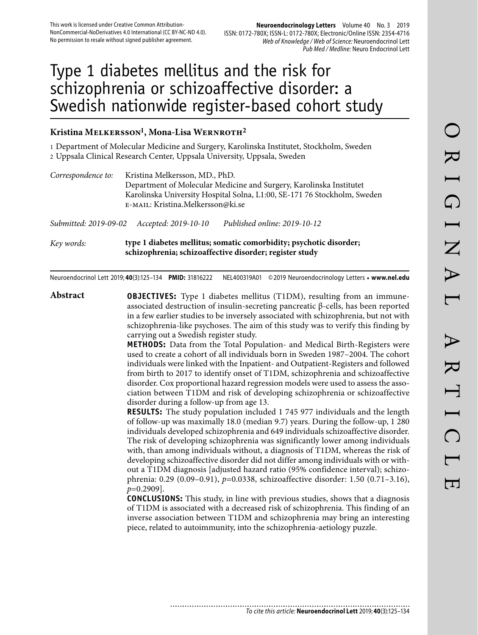#### **Neuroendocrinology Letters** Volume 40 No. 3 2019 ISSN: 0172-780X; ISSN-L: 0172-780X; Electronic/Online ISSN: 2354-4716 Web of Knowledge / Web of Science: Neuroendocrinol Lett Pub Med / Medline: Neuro Endocrinol Lett

# Type 1 diabetes mellitus and the risk for schizophrenia or schizoaffective disorder: a Swedish nationwide register-based cohort study

# **Kristina Melkersson1, Mona-Lisa Wernroth2**

1 Department of Molecular Medicine and Surgery, Karolinska Institutet, Stockholm, Sweden 2 Uppsala Clinical Research Center, Uppsala University, Uppsala, Sweden

| Correspondence to:    | Kristina Melkersson, MD., PhD.<br>E-MAIL: Kristina.Melkersson@ki.se | Department of Molecular Medicine and Surgery, Karolinska Institutet<br>Karolinska University Hospital Solna, L1:00, SE-171 76 Stockholm, Sweden |
|-----------------------|---------------------------------------------------------------------|-------------------------------------------------------------------------------------------------------------------------------------------------|
| Submitted: 2019-09-02 | Accepted: 2019-10-10                                                | Published online: 2019-10-12                                                                                                                    |

*Key words:* **type 1 diabetes mellitus; somatic comorbidity; psychotic disorder; schizophrenia; schizoaffective disorder; register study** 

Neuroendocrinol Lett 2019; **40**(3):125–134 **PMID:** 31816222 NEL400319A01 © 2019 Neuroendocrinology Letters • **www.nel.edu**

**Abstract OBJECTIVES:** Type 1 diabetes mellitus (T1DM), resulting from an immuneassociated destruction of insulin-secreting pancreatic β-cells, has been reported in a few earlier studies to be inversely associated with schizophrenia, but not with schizophrenia-like psychoses. The aim of this study was to verify this finding by carrying out a Swedish register study.

**METHODS:** Data from the Total Population- and Medical Birth-Registers were used to create a cohort of all individuals born in Sweden 1987–2004. The cohort individuals were linked with the Inpatient- and Outpatient-Registers and followed from birth to 2017 to identify onset of T1DM, schizophrenia and schizoaffective disorder. Cox proportional hazard regression models were used to assess the association between T1DM and risk of developing schizophrenia or schizoaffective disorder during a follow-up from age 13.

**RESULTS:** The study population included 1 745 977 individuals and the length of follow-up was maximally 18.0 (median 9.7) years. During the follow-up, 1 280 individuals developed schizophrenia and 649 individuals schizoaffective disorder. The risk of developing schizophrenia was significantly lower among individuals with, than among individuals without, a diagnosis of T1DM, whereas the risk of developing schizoaffective disorder did not differ among individuals with or without a T1DM diagnosis [adjusted hazard ratio (95% confidence interval); schizophrenia: 0.29 (0.09–0.91), *p*=0.0338, schizoaffective disorder: 1.50 (0.71–3.16), *p*=0.2909].

**CONCLUSIONS:** This study, in line with previous studies, shows that a diagnosis of T1DM is associated with a decreased risk of schizophrenia. This finding of an inverse association between T1DM and schizophrenia may bring an interesting piece, related to autoimmunity, into the schizophrenia-aetiology puzzle.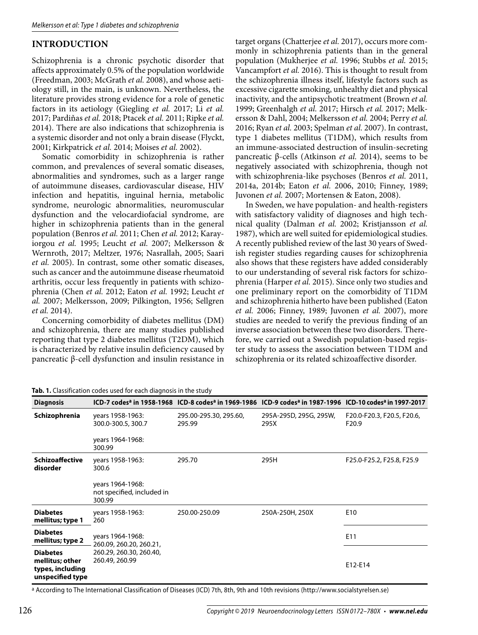# **INTRODUCTION**

Schizophrenia is a chronic psychotic disorder that affects approximately 0.5% of the population worldwide (Freedman, 2003; McGrath *et al.* 2008), and whose aetiology still, in the main, is unknown. Nevertheless, the literature provides strong evidence for a role of genetic factors in its aetiology (Giegling *et al.* 2017; Li *et al.* 2017; Pardiňas *et al.* 2018; Ptacek *et al.* 2011; Ripke *et al.* 2014). There are also indications that schizophrenia is a systemic disorder and not only a brain disease (Flyckt, 2001; Kirkpatrick *et al.* 2014; Moises *et al.* 2002).

Somatic comorbidity in schizophrenia is rather common, and prevalences of several somatic diseases, abnormalities and syndromes, such as a larger range of autoimmune diseases, cardiovascular disease, HIV infection and hepatitis, inguinal hernia, metabolic syndrome, neurologic abnormalities, neuromuscular dysfunction and the velocardiofacial syndrome, are higher in schizophrenia patients than in the general population (Benros *et al.* 2011; Chen *et al.* 2012; Karayiorgou *et al.* 1995; Leucht *et al.* 2007; Melkersson & Wernroth, 2017; Meltzer, 1976; Nasrallah, 2005; Saari *et al.* 2005). In contrast, some other somatic diseases, such as cancer and the autoimmune disease rheumatoid arthritis, occur less frequently in patients with schizophrenia (Chen *et al.* 2012; Eaton *et al.* 1992; Leucht *et al.* 2007; Melkersson, 2009; Pilkington, 1956; Sellgren *et al.* 2014).

Concerning comorbidity of diabetes mellitus (DM) and schizophrenia, there are many studies published reporting that type 2 diabetes mellitus (T2DM), which is characterized by relative insulin deficiency caused by pancreatic β-cell dysfunction and insulin resistance in

target organs (Chatterjee *et al.* 2017), occurs more commonly in schizophrenia patients than in the general population (Mukherjee *et al.* 1996; Stubbs *et al.* 2015; Vancampfort *et al.* 2016). This is thought to result from the schizophrenia illness itself, lifestyle factors such as excessive cigarette smoking, unhealthy diet and physical inactivity, and the antipsychotic treatment (Brown *et al.* 1999; Greenhalgh *et al.* 2017; Hirsch *et al.* 2017; Melkersson & Dahl, 2004; Melkersson *et al.* 2004; Perry *et al.* 2016; Ryan *et al.* 2003; Spelman *et al.* 2007). In contrast, type 1 diabetes mellitus (T1DM), which results from an immune-associated destruction of insulin-secreting pancreatic β-cells (Atkinson *et al.* 2014), seems to be negatively associated with schizophrenia, though not with schizophrenia-like psychoses (Benros *et al.* 2011, 2014a, 2014b; Eaton *et al.* 2006, 2010; Finney, 1989; Juvonen *et al.* 2007; Mortensen & Eaton, 2008).

In Sweden, we have population- and health-registers with satisfactory validity of diagnoses and high technical quality (Dalman *et al.* 2002; Kristjansson *et al.* 1987), which are well suited for epidemiological studies. A recently published review of the last 30 years of Swedish register studies regarding causes for schizophrenia also shows that these registers have added considerably to our understanding of several risk factors for schizophrenia (Harper *et al.* 2015). Since only two studies and one preliminary report on the comorbidity of T1DM and schizophrenia hitherto have been published (Eaton *et al.* 2006; Finney, 1989; Juvonen *et al.* 2007), more studies are needed to verify the previous finding of an inverse association between these two disorders. Therefore, we carried out a Swedish population-based register study to assess the association between T1DM and schizophrenia or its related schizoaffective disorder.

|  | Tab. 1. Classification codes used for each diagnosis in the study |  |  |  |  |  |
|--|-------------------------------------------------------------------|--|--|--|--|--|
|--|-------------------------------------------------------------------|--|--|--|--|--|

| <b>Diagnosis</b>                                                           |                                                          | ICD-7 codes <sup>a</sup> in 1958-1968 ICD-8 codes <sup>a</sup> in 1969-1986 ICD-9 codes <sup>a</sup> in 1987-1996 ICD-10 codes <sup>a</sup> in 1997-2017 |                                |                                                 |
|----------------------------------------------------------------------------|----------------------------------------------------------|----------------------------------------------------------------------------------------------------------------------------------------------------------|--------------------------------|-------------------------------------------------|
| Schizophrenia                                                              | years 1958-1963:<br>300.0-300.5, 300.7                   | 295.00-295.30, 295.60,<br>295.99                                                                                                                         | 295A-295D, 295G, 295W,<br>295X | F20.0-F20.3, F20.5, F20.6,<br>F <sub>20.9</sub> |
|                                                                            | years 1964-1968:<br>300.99                               |                                                                                                                                                          |                                |                                                 |
| <b>Schizoaffective</b><br>disorder                                         | years 1958-1963:<br>300.6                                | 295.70                                                                                                                                                   | 295H                           | F25.0-F25.2, F25.8, F25.9                       |
|                                                                            | years 1964-1968:<br>not specified, included in<br>300.99 |                                                                                                                                                          |                                |                                                 |
| <b>Diabetes</b><br>mellitus; type 1                                        | years 1958-1963:<br>260                                  | 250.00-250.09                                                                                                                                            | 250A-250H, 250X                | E <sub>10</sub>                                 |
| <b>Diabetes</b><br>mellitus; type 2                                        | years 1964-1968:<br>260.09, 260.20, 260.21,              |                                                                                                                                                          |                                | E11                                             |
| <b>Diabetes</b><br>mellitus; other<br>types, including<br>unspecified type | 260.29, 260.30, 260.40,<br>260.49, 260.99                |                                                                                                                                                          |                                | E12-E14                                         |

a According to The International Classification of Diseases (ICD) 7th, 8th, 9th and 10th revisions (http://www.socialstyrelsen.se)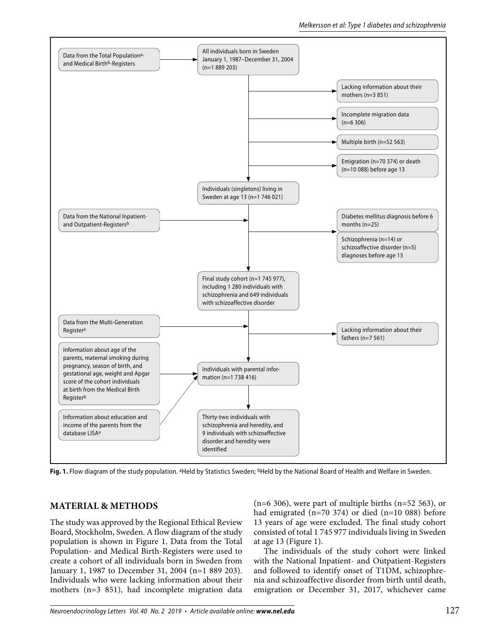

Fig. 1. Flow diagram of the study population. <sup>a</sup>Held by Statistics Sweden; <sup>b</sup>Held by the National Board of Health and Welfare in Sweden.

# **MATERIAL & METHODS**

The study was approved by the Regional Ethical Review Board, Stockholm, Sweden. A flow diagram of the study population is shown in Figure 1. Data from the Total Population- and Medical Birth-Registers were used to create a cohort of all individuals born in Sweden from January 1, 1987 to December 31, 2004 (n=1 889 203). Individuals who were lacking information about their mothers (n=3 851), had incomplete migration data

 $(n=6 306)$ , were part of multiple births  $(n=52 563)$ , or had emigrated (n=70 374) or died (n=10 088) before 13 years of age were excluded. The final study cohort consisted of total 1 745 977 individuals living in Sweden at age 13 (Figure 1).

The individuals of the study cohort were linked with the National Inpatient- and Outpatient-Registers and followed to identify onset of T1DM, schizophrenia and schizoaffective disorder from birth until death, emigration or December 31, 2017, whichever came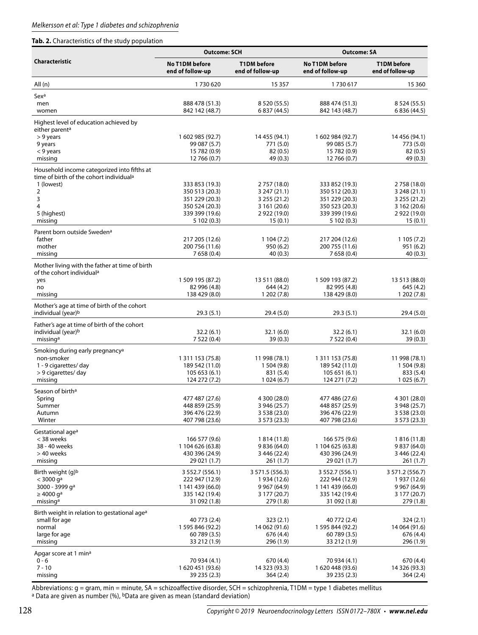### **Tab. 2.** Characteristics of the study population

|                                                                                         | <b>Outcome: SCH</b>                |                                        | <b>Outcome: SA</b>                        |                                        |  |
|-----------------------------------------------------------------------------------------|------------------------------------|----------------------------------------|-------------------------------------------|----------------------------------------|--|
| <b>Characteristic</b>                                                                   | No T1DM before<br>end of follow-up | <b>T1DM</b> before<br>end of follow-up | <b>No T1DM before</b><br>end of follow-up | <b>T1DM</b> before<br>end of follow-up |  |
| All(n)                                                                                  | 1730620                            | 15 3 5 7                               | 1730617                                   | 15 3 60                                |  |
| Sexa                                                                                    |                                    |                                        |                                           |                                        |  |
| men                                                                                     | 888 478 (51.3)                     | 8 5 20 (55.5)                          | 888 474 (51.3)                            | 8 5 24 (55.5)                          |  |
| women                                                                                   | 842 142 (48.7)                     | 6 837 (44.5)                           | 842 143 (48.7)                            | 6 836 (44.5)                           |  |
| Highest level of education achieved by<br>either parent <sup>a</sup>                    |                                    |                                        |                                           |                                        |  |
| > 9 years                                                                               | 1 602 985 (92.7)                   | 14 455 (94.1)                          | 1 602 984 (92.7)                          | 14 456 (94.1)                          |  |
| 9 years                                                                                 | 99 087 (5.7)                       | 771 (5.0)                              | 99 085 (5.7)                              | 773 (5.0)                              |  |
| < 9 years<br>missing                                                                    | 15 782 (0.9)<br>12 766 (0.7)       | 82(0.5)<br>49(0.3)                     | 15 782 (0.9)<br>12 766 (0.7)              | 82(0.5)<br>49 (0.3)                    |  |
| Household income categorized into fifths at                                             |                                    |                                        |                                           |                                        |  |
| time of birth of the cohort individual <sup>a</sup><br>1 (lowest)                       | 333 853 (19.3)                     | 2 757 (18.0)                           | 333 852 (19.3)                            | 2 758 (18.0)                           |  |
| 2                                                                                       | 350 513 (20.3)                     | 3 247 (21.1)                           | 350 512 (20.3)                            | 3 248 (21.1)                           |  |
| 3                                                                                       | 351 229 (20.3)                     | 3 255 (21.2)                           | 351 229 (20.3)                            | 3 255 (21.2)                           |  |
| 4                                                                                       | 350 524 (20.3)                     | 3 161 (20.6)                           | 350 523 (20.3)                            | 3 162 (20.6)                           |  |
| 5 (highest)<br>missing                                                                  | 339 399 (19.6)<br>5 102 (0.3)      | 2 9 2 (19.0)<br>15(0.1)                | 339 399 (19.6)<br>5 102 (0.3)             | 2 9 2 (19.0)<br>15(0.1)                |  |
| Parent born outside Sweden <sup>a</sup>                                                 |                                    |                                        |                                           |                                        |  |
| father                                                                                  | 217 205 (12.6)                     | 1104(7.2)                              | 217 204 (12.6)                            | 1105(7.2)                              |  |
| mother                                                                                  | 200 756 (11.6)                     | 950(6.2)                               | 200 755 (11.6)                            | 951 (6.2)                              |  |
| missing                                                                                 | 7 658 (0.4)                        | 40 (0.3)                               | 7 658 (0.4)                               | 40(0.3)                                |  |
| Mother living with the father at time of birth<br>of the cohort individual <sup>a</sup> |                                    |                                        |                                           |                                        |  |
| yes<br>no                                                                               | 1 509 195 (87.2)<br>82 996 (4.8)   | 13 511 (88.0)<br>644 (4.2)             | 1 509 193 (87.2)<br>82 995 (4.8)          | 13 513 (88.0)<br>645 (4.2)             |  |
| missing                                                                                 | 138 429 (8.0)                      | 1 202 (7.8)                            | 138 429 (8.0)                             | 1202(7.8)                              |  |
| Mother's age at time of birth of the cohort<br>individual (year) <sup>b</sup>           | 29.3(5.1)                          | 29.4(5.0)                              | 29.3 (5.1)                                | 29.4 (5.0)                             |  |
| Father's age at time of birth of the cohort                                             |                                    |                                        |                                           |                                        |  |
| individual (year) <sup>b</sup>                                                          | 32.2(6.1)                          | 32.1(6.0)                              | 32.2(6.1)                                 | 32.1 (6.0)                             |  |
| missing <sup>a</sup>                                                                    | 7 522 (0.4)                        | 39(0.3)                                | 7 522 (0.4)                               | 39(0.3)                                |  |
| Smoking during early pregnancy <sup>a</sup>                                             |                                    |                                        |                                           |                                        |  |
| non-smoker                                                                              | 1 311 153 (75.8)                   | 11 998 (78.1)                          | 1 3 1 1 1 5 3 ( 7 5 .8)<br>189 542 (11.0) | 11 998 (78.1)                          |  |
| 1 - 9 cigarettes/ day<br>> 9 cigarettes/ day                                            | 189 542 (11.0)<br>105 653 (6.1)    | 1504(9.8)<br>831 (5.4)                 | 105 651 (6.1)                             | 1504(9.8)<br>833 (5.4)                 |  |
| missing                                                                                 | 124 272 (7.2)                      | 1024(6.7)                              | 124 271 (7.2)                             | 1025(6.7)                              |  |
| Season of birth <sup>a</sup>                                                            |                                    |                                        |                                           |                                        |  |
| Spring                                                                                  | 477 487 (27.6)                     | 4 300 (28.0)                           | 477 486 (27.6)                            | 4 301 (28.0)                           |  |
| Summer<br>Autumn                                                                        | 448 859 (25.9)<br>396 476 (22.9)   | 3 946 (25.7)<br>3 538 (23.0)           | 448 857 (25.9)<br>396 476 (22.9)          | 3 948 (25.7)<br>3 538 (23.0)           |  |
| Winter                                                                                  | 407 798 (23.6)                     | 3 573 (23.3)                           | 407 798 (23.6)                            | 3 573 (23.3)                           |  |
| Gestational age <sup>a</sup>                                                            |                                    |                                        |                                           |                                        |  |
| < 38 weeks                                                                              | 166 577 (9.6)                      | 1 814 (11.8)                           | 166 575 (9.6)                             | 1816 (11.8)                            |  |
| 38 - 40 weeks<br>> 40 weeks                                                             | 1 104 626 (63.8)<br>430 396 (24.9) | 9 836 (64.0)                           | 1 104 625 (63.8)<br>430 396 (24.9)        | 9 837 (64.0)                           |  |
| missing                                                                                 | 29 021 (1.7)                       | 3 446 (22.4)<br>261 (1.7)              | 29 021 (1.7)                              | 3 446 (22.4)<br>261 (1.7)              |  |
| Birth weight (g) <sup>b</sup>                                                           | 3 552.7 (556.1)                    | 3 571.5 (556.3)                        | 3 552.7 (556.1)                           | 3 571.2 (556.7)                        |  |
| $<$ 3000 ga                                                                             | 222 947 (12.9)                     | 1 934 (12.6)                           | 222 944 (12.9)                            | 1 937 (12.6)                           |  |
| 3000 - 3999 qa                                                                          | 1 141 439 (66.0)                   | 9 9 67 (64.9)                          | 1 141 439 (66.0)<br>335 142 (19.4)        | 9 9 67 (64.9)                          |  |
| $\geq 4000$ g <sup>a</sup><br>missing <sup>a</sup>                                      | 335 142 (19.4)<br>31 092 (1.8)     | 3 177 (20.7)<br>279 (1.8)              | 31 092 (1.8)                              | 3 177 (20.7)<br>279 (1.8)              |  |
| Birth weight in relation to gestational age <sup>a</sup>                                |                                    |                                        |                                           |                                        |  |
| small for age                                                                           | 40 773 (2.4)                       | 323(2.1)                               | 40 772 (2.4)                              | 324 (2.1)                              |  |
| normal                                                                                  | 1 595 846 (92.2)                   | 14 062 (91.6)                          | 1 595 844 (92.2)                          | 14 064 (91.6)                          |  |
| large for age<br>missing                                                                | 60 789 (3.5)<br>33 212 (1.9)       | 676 (4.4)<br>296 (1.9)                 | 60 789 (3.5)<br>33 212 (1.9)              | 676 (4.4)<br>296 (1.9)                 |  |
| Apgar score at 1 min <sup>a</sup>                                                       |                                    |                                        |                                           |                                        |  |
| $0 - 6$                                                                                 | 70 934 (4.1)                       | 670 (4.4)                              | 70 934 (4.1)                              | 670 (4.4)                              |  |
| $7 - 10$                                                                                | 1 620 451 (93.6)                   | 14 323 (93.3)                          | 1 620 448 (93.6)                          | 14 326 (93.3)                          |  |
| missing                                                                                 | 39 235 (2.3)                       | 364 (2.4)                              | 39 235 (2.3)                              | 364 (2.4)                              |  |

Abbreviations: g = gram, min = minute, SA = schizoaffective disorder, SCH = schizophrenia, T1DM = type 1 diabetes mellitus a Data are given as number (%), bData are given as mean (standard deviation)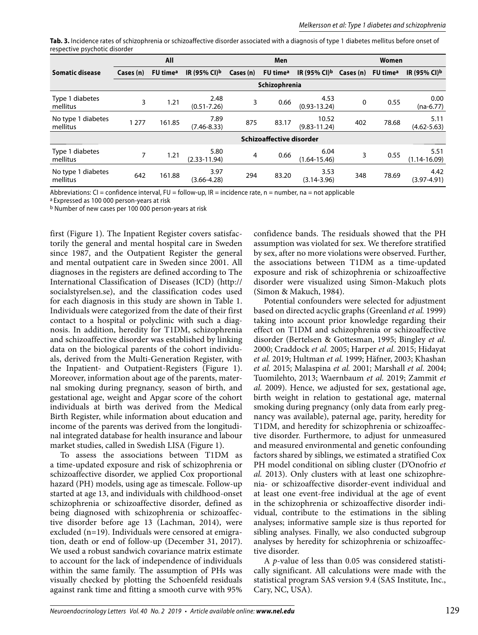**Tab. 3.** Incidence rates of schizophrenia or schizoaffective disorder associated with a diagnosis of type 1 diabetes mellitus before onset of respective psychotic disorder

|                                |                          | All                  |                          |                | Men                  |                           |           | Women                |                          |
|--------------------------------|--------------------------|----------------------|--------------------------|----------------|----------------------|---------------------------|-----------|----------------------|--------------------------|
| <b>Somatic disease</b>         | Cases (n)                | FU time <sup>a</sup> | IR (95% CI) <sup>b</sup> | Cases (n)      | FU time <sup>a</sup> | IR (95% CI) <sup>b</sup>  | Cases (n) | FU time <sup>a</sup> | IR (95% CI) <sup>b</sup> |
|                                |                          |                      |                          |                | Schizophrenia        |                           |           |                      |                          |
| Type 1 diabetes<br>mellitus    | 3                        | 1.21                 | 2.48<br>$(0.51 - 7.26)$  | 3              | 0.66                 | 4.53<br>$(0.93 - 13.24)$  | 0         | 0.55                 | 0.00<br>$(na-6.77)$      |
| No type 1 diabetes<br>mellitus | 1 2 7 7                  | 161.85               | 7.89<br>$(7.46 - 8.33)$  | 875            | 83.17                | 10.52<br>$(9.83 - 11.24)$ | 402       | 78.68                | 5.11<br>$(4.62 - 5.63)$  |
|                                | Schizoaffective disorder |                      |                          |                |                      |                           |           |                      |                          |
| Type 1 diabetes<br>mellitus    | 7                        | 1.21                 | 5.80<br>$(2.33 - 11.94)$ | $\overline{4}$ | 0.66                 | 6.04<br>$(1.64 - 15.46)$  | 3         | 0.55                 | 5.51<br>(1.14-16.09)     |
| No type 1 diabetes<br>mellitus | 642                      | 161.88               | 3.97<br>$(3.66 - 4.28)$  | 294            | 83.20                | 3.53<br>$(3.14 - 3.96)$   | 348       | 78.69                | 4.42<br>$(3.97 - 4.91)$  |

Abbreviations: CI = confidence interval, FU = follow-up, IR = incidence rate, n = number, na = not applicable

a Expressed as 100 000 person-years at risk

b Number of new cases per 100 000 person-years at risk

first (Figure 1). The Inpatient Register covers satisfactorily the general and mental hospital care in Sweden since 1987, and the Outpatient Register the general and mental outpatient care in Sweden since 2001. All diagnoses in the registers are defined according to The International Classification of Diseases (ICD) (http:// socialstyrelsen.se), and the classification codes used for each diagnosis in this study are shown in Table 1. Individuals were categorized from the date of their first contact to a hospital or polyclinic with such a diagnosis. In addition, heredity for T1DM, schizophrenia and schizoaffective disorder was established by linking data on the biological parents of the cohort individuals, derived from the Multi-Generation Register, with the Inpatient- and Outpatient-Registers (Figure 1). Moreover, information about age of the parents, maternal smoking during pregnancy, season of birth, and gestational age, weight and Apgar score of the cohort individuals at birth was derived from the Medical Birth Register, while information about education and income of the parents was derived from the longitudinal integrated database for health insurance and labour market studies, called in Swedish LISA (Figure 1).

To assess the associations between T1DM as a time-updated exposure and risk of schizophrenia or schizoaffective disorder, we applied Cox proportional hazard (PH) models, using age as timescale. Follow-up started at age 13, and individuals with childhood-onset schizophrenia or schizoaffective disorder, defined as being diagnosed with schizophrenia or schizoaffective disorder before age 13 (Lachman, 2014), were excluded (n=19). Individuals were censored at emigration, death or end of follow-up (December 31, 2017). We used a robust sandwich covariance matrix estimate to account for the lack of independence of individuals within the same family. The assumption of PHs was visually checked by plotting the Schoenfeld residuals against rank time and fitting a smooth curve with 95%

confidence bands. The residuals showed that the PH assumption was violated for sex. We therefore stratified by sex, after no more violations were observed. Further, the associations between T1DM as a time-updated exposure and risk of schizophrenia or schizoaffective disorder were visualized using Simon-Makuch plots (Simon & Makuch, 1984).

Potential confounders were selected for adjustment based on directed acyclic graphs (Greenland *et al.* 1999) taking into account prior knowledge regarding their effect on T1DM and schizophrenia or schizoaffective disorder (Bertelsen & Gottesman, 1995; Bingley *et al.* 2000; Craddock *et al.* 2005; Harper *et al.* 2015; Hidayat *et al.* 2019; Hultman *et al.* 1999; Häfner, 2003; Khashan *et al.* 2015; Malaspina *et al.* 2001; Marshall *et al.* 2004; Tuomilehto, 2013; Waernbaum *et al.* 2019; Zammit *et al.* 2009). Hence, we adjusted for sex, gestational age, birth weight in relation to gestational age, maternal smoking during pregnancy (only data from early pregnancy was available), paternal age, parity, heredity for T1DM, and heredity for schizophrenia or schizoaffective disorder. Furthermore, to adjust for unmeasured and measured environmental and genetic confounding factors shared by siblings, we estimated a stratified Cox PH model conditional on sibling cluster (D'Onofrio *et al.* 2013). Only clusters with at least one schizophrenia- or schizoaffective disorder-event individual and at least one event-free individual at the age of event in the schizophrenia or schizoaffective disorder individual, contribute to the estimations in the sibling analyses; informative sample size is thus reported for sibling analyses. Finally, we also conducted subgroup analyses by heredity for schizophrenia or schizoaffective disorder.

A *p*-value of less than 0.05 was considered statistically significant. All calculations were made with the statistical program SAS version 9.4 (SAS Institute, Inc., Cary, NC, USA).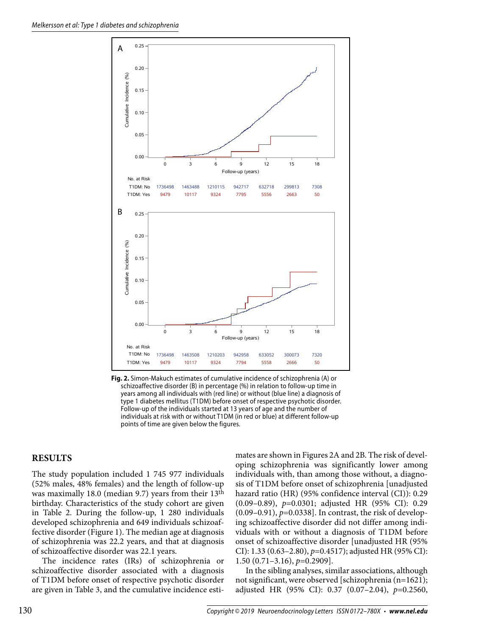

**Fig. 2.** Simon-Makuch estimates of cumulative incidence of schizophrenia (A) or schizoaffective disorder (B) in percentage (%) in relation to follow-up time in years among all individuals with (red line) or without (blue line) a diagnosis of type 1 diabetes mellitus (T1DM) before onset of respective psychotic disorder. Follow-up of the individuals started at 13 years of age and the number of individuals at risk with or without T1DM (in red or blue) at different follow-up points of time are given below the figures.

## **RESULTS**

The study population included 1 745 977 individuals (52% males, 48% females) and the length of follow-up was maximally 18.0 (median 9.7) years from their 13th birthday. Characteristics of the study cohort are given in Table 2. During the follow-up, 1 280 individuals developed schizophrenia and 649 individuals schizoaffective disorder (Figure 1). The median age at diagnosis of schizophrenia was 22.2 years, and that at diagnosis of schizoaffective disorder was 22.1 years.

The incidence rates (IRs) of schizophrenia or schizoaffective disorder associated with a diagnosis of T1DM before onset of respective psychotic disorder are given in Table 3, and the cumulative incidence esti-

mates are shown in Figures 2A and 2B. The risk of developing schizophrenia was significantly lower among individuals with, than among those without, a diagnosis of T1DM before onset of schizophrenia [unadjusted hazard ratio (HR) (95% confidence interval (CI)): 0.29 (0.09–0.89), *p*=0.0301; adjusted HR (95% CI): 0.29 (0.09–0.91), *p*=0.0338]. In contrast, the risk of developing schizoaffective disorder did not differ among individuals with or without a diagnosis of T1DM before onset of schizoaffective disorder [unadjusted HR (95% CI): 1.33 (0.63–2.80), *p*=0.4517); adjusted HR (95% CI): 1.50 (0.71–3.16), *p*=0.2909].

In the sibling analyses, similar associations, although not significant, were observed [schizophrenia (n=1621); adjusted HR (95% CI): 0.37 (0.07–2.04), *p*=0.2560,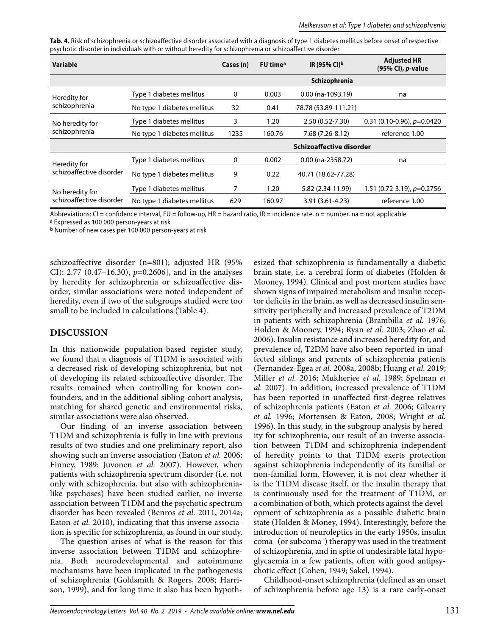| Tab. 4. Risk of schizophrenia or schizoaffective disorder associated with a diagnosis of type 1 diabetes mellitus before onset of respective |  |
|----------------------------------------------------------------------------------------------------------------------------------------------|--|
| psychotic disorder in individuals with or without heredity for schizophrenia or schizoaffective disorder                                     |  |

| Variable                         |                             | Cases (n)                | FU time <sup>a</sup> | IR (95% CI) <sup>b</sup> | <b>Adjusted HR</b><br>(95% CI), p-value |
|----------------------------------|-----------------------------|--------------------------|----------------------|--------------------------|-----------------------------------------|
|                                  |                             |                          |                      | Schizophrenia            |                                         |
| Heredity for                     | Type 1 diabetes mellitus    | 0                        | 0.003                | $0.00$ (na-1093.19)      | na                                      |
| schizophrenia                    | No type 1 diabetes mellitus | 32                       | 0.41                 | 78.78 (53.89-111.21)     |                                         |
| No heredity for<br>schizophrenia | Type 1 diabetes mellitus    | 3                        | 1.20                 | 2.50 (0.52-7.30)         | $0.31(0.10-0.96)$ , $p=0.0420$          |
|                                  | No type 1 diabetes mellitus | 1235                     | 160.76               | 7.68 (7.26-8.12)         | reference 1.00                          |
|                                  |                             | Schizoaffective disorder |                      |                          |                                         |
| Heredity for                     | Type 1 diabetes mellitus    | 0                        | 0.002                | $0.00$ (na-2358.72)      | na                                      |
| schizoaffective disorder         | No type 1 diabetes mellitus | 9                        | 0.22                 | 40.71 (18.62-77.28)      |                                         |
| No heredity for                  | Type 1 diabetes mellitus    |                          | 1.20                 | 5.82 (2.34-11.99)        | $1.51$ (0.72-3.19), $p=0.2756$          |
| schizoaffective disorder         | No type 1 diabetes mellitus | 629                      | 160.97               | $3.91(3.61 - 4.23)$      | reference 1.00                          |

Abbreviations: CI = confidence interval, FU = follow-up, HR = hazard ratio, IR = incidence rate,  $n =$  number,  $na =$  not applicable

a Expressed as 100 000 person-years at risk

b Number of new cases per 100 000 person-years at risk

schizoaffective disorder (n=801); adjusted HR (95% CI): 2.77 (0.47–16.30), *p*=0.2606], and in the analyses by heredity for schizophrenia or schizoaffective disorder, similar associations were noted independent of heredity, even if two of the subgroups studied were too small to be included in calculations (Table 4).

## **DISCUSSION**

In this nationwide population-based register study, we found that a diagnosis of T1DM is associated with a decreased risk of developing schizophrenia, but not of developing its related schizoaffective disorder. The results remained when controlling for known confounders, and in the additional sibling-cohort analysis, matching for shared genetic and environmental risks, similar associations were also observed.

Our finding of an inverse association between T1DM and schizophrenia is fully in line with previous results of two studies and one preliminary report, also showing such an inverse association (Eaton *et al.* 2006; Finney, 1989; Juvonen *et al.* 2007). However, when patients with schizophrenia spectrum disorder (i.e. not only with schizophrenia, but also with schizophrenialike psychoses) have been studied earlier, no inverse association between T1DM and the psychotic spectrum disorder has been revealed (Benros *et al.* 2011, 2014a; Eaton *et al.* 2010), indicating that this inverse association is specific for schizophrenia, as found in our study.

The question arises of what is the reason for this inverse association between T1DM and schizophrenia. Both neurodevelopmental and autoimmune mechanisms have been implicated in the pathogenesis of schizophrenia (Goldsmith & Rogers, 2008; Harrison, 1999), and for long time it also has been hypothesized that schizophrenia is fundamentally a diabetic brain state, i.e. a cerebral form of diabetes (Holden & Mooney, 1994). Clinical and post mortem studies have shown signs of impaired metabolism and insulin receptor deficits in the brain, as well as decreased insulin sensitivity peripherally and increased prevalence of T2DM in patients with schizophrenia (Brambilla *et al.* 1976; Holden & Mooney, 1994; Ryan *et al.* 2003; Zhao *et al.* 2006). Insulin resistance and increased heredity for, and prevalence of, T2DM have also been reported in unaffected siblings and parents of schizophrenia patients (Fernandez-Egea *et al.* 2008a, 2008b; Huang *et al.* 2019; Miller *et al.* 2016; Mukherjee *et al.* 1989; Spelman *et al.* 2007). In addition, increased prevalence of T1DM has been reported in unaffected first-degree relatives of schizophrenia patients (Eaton *et al.* 2006; Gilvarry *et al.* 1996; Mortensen & Eaton, 2008; Wright *et al.* 1996). In this study, in the subgroup analysis by heredity for schizophrenia, our result of an inverse association between T1DM and schizophrenia independent of heredity points to that T1DM exerts protection against schizophrenia independently of its familial or non-familial form. However, it is not clear whether it is the T1DM disease itself, or the insulin therapy that is continuously used for the treatment of T1DM, or a combination of both, which protects against the development of schizophrenia as a possible diabetic brain state (Holden & Money, 1994). Interestingly, before the introduction of neuroleptics in the early 1950s, insulin coma- (or subcoma-) therapy was used in the treatment of schizophrenia, and in spite of undesirable fatal hypoglycaemia in a few patients, often with good antipsychotic effect (Cohen, 1949; Sakel, 1994).

Childhood-onset schizophrenia (defined as an onset of schizophrenia before age 13) is a rare early-onset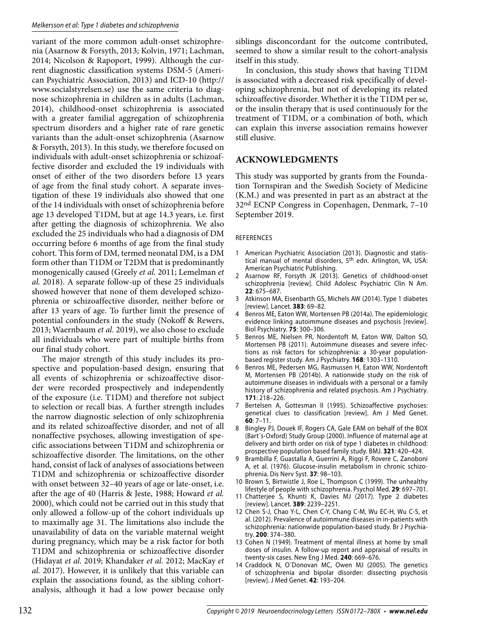#### Melkersson et al: Type 1 diabetes and schizophrenia

variant of the more common adult-onset schizophrenia (Asarnow & Forsyth, 2013; Kolvin, 1971; Lachman, 2014; Nicolson & Rapoport, 1999). Although the current diagnostic classification systems DSM-5 (American Psychiatric Association, 2013) and ICD-10 (http:// www.socialstyrelsen.se) use the same criteria to diagnose schizophrenia in children as in adults (Lachman, 2014), childhood-onset schizophrenia is associated with a greater familial aggregation of schizophrenia spectrum disorders and a higher rate of rare genetic variants than the adult-onset schizophrenia (Asarnow & Forsyth, 2013). In this study, we therefore focused on individuals with adult-onset schizophrenia or schizoaffective disorder and excluded the 19 individuals with onset of either of the two disorders before 13 years of age from the final study cohort. A separate investigation of these 19 individuals also showed that one of the 14 individuals with onset of schizophrenia before age 13 developed T1DM, but at age 14.3 years, i.e. first after getting the diagnosis of schizophrenia. We also excluded the 25 individuals who had a diagnosis of DM occurring before 6 months of age from the final study cohort. This form of DM, termed neonatal DM, is a DM form other than T1DM or T2DM that is predominantly monogenically caused (Greely *et al.* 2011; Lemelman *et al.* 2018). A separate follow-up of these 25 individuals showed however that none of them developed schizophrenia or schizoaffective disorder, neither before or after 13 years of age. To further limit the presence of potential confounders in the study (Nokoff & Rewers, 2013; Waernbaum *et al.* 2019), we also chose to exclude all individuals who were part of multiple births from our final study cohort.

The major strength of this study includes its prospective and population-based design, ensuring that all events of schizophrenia or schizoaffective disorder were recorded prospectively and independently of the exposure (i.e. T1DM) and therefore not subject to selection or recall bias. A further strength includes the narrow diagnostic selection of only schizophrenia and its related schizoaffective disorder, and not of all nonaffective psychoses, allowing investigation of specific associations between T1DM and schizophrenia or schizoaffective disorder. The limitations, on the other hand, consist of lack of analyses of associations between T1DM and schizophrenia or schizoaffective disorder with onset between 32–40 years of age or late-onset, i.e. after the age of 40 (Harris & Jeste, 1988; Howard *et al.* 2000), which could not be carried out in this study that only allowed a follow-up of the cohort individuals up to maximally age 31. The limitations also include the unavailability of data on the variable maternal weight during pregnancy, which may be a risk factor for both T1DM and schizophrenia or schizoaffective disorder (Hidayat *et al.* 2019; Khandaker *et al.* 2012; MacKay *et al.* 2017). However, it is unlikely that this variable can explain the associations found, as the sibling cohortanalysis, although it had a low power because only

siblings disconcordant for the outcome contributed, seemed to show a similar result to the cohort-analysis itself in this study.

In conclusion, this study shows that having T1DM is associated with a decreased risk specifically of developing schizophrenia, but not of developing its related schizoaffective disorder. Whether it is the T1DM per se, or the insulin therapy that is used continuously for the treatment of T1DM, or a combination of both, which can explain this inverse association remains however still elusive.

# **ACKNOWLEDGMENTS**

This study was supported by grants from the Foundation Tornspiran and the Swedish Society of Medicine (K.M.) and was presented in part as an abstract at the 32nd ECNP Congress in Copenhagen, Denmark, 7–10 September 2019.

## **REFERENCES**

- 1 American Psychiatric Association (2013). Diagnostic and statistical manual of mental disorders, 5th edn. Arlington, VA, USA: American Psychiatric Publishing.
- 2 Asarnow RF, Forsyth JK (2013). Genetics of childhood-onset schizophrenia [review]. Child Adolesc Psychiatric Clin N Am. **22**: 675–687.
- 3 Atkinson MA, Eisenbarth GS, Michels AW (2014). Type 1 diabetes [review]. Lancet. **383**: 69–82.
- 4 Benros ME, Eaton WW, Mortensen PB (2014a). The epidemiologic evidence linking autoimmune diseases and psychosis [review]. Biol Psychiatry. **75**: 300–306.
- 5 Benros ME, Nielsen PR, Nordentoft M, Eaton WW, Dalton SO, Mortensen PB (2011). Autoimmune diseases and severe infections as risk factors for schizophrenia: a 30-year populationbased register study. Am J Psychiatry. **168**: 1303–1310.
- 6 Benros ME, Pedersen MG, Rasmussen H, Eaton WW, Nordentoft M, Mortensen PB (2014b). A nationwide study on the risk of autoimmune diseases in individuals with a personal or a family history of schizophrenia and related psychosis. Am J Psychiatry. **171**: 218–226.
- 7 Bertelsen A, Gottesman II (1995). Schizoaffective psychoses: genetical clues to classification [review]. Am J Med Genet. **60**: 7–11.
- 8 Bingley PJ, Douek IF, Rogers CA, Gale EAM on behalf of the BOX (Bart´s-Oxford) Study Group (2000). Influence of maternal age at delivery and birth order on risk of type 1 diabetes in childhood: prospective population based family study. BMJ. **321**: 420–424.
- 9 Brambilla F, Guastalla A, Guerrini A, Riggi F, Rovere C, Zanoboni A, et al. (1976). Glucose-insulin metabolism in chronic schizophrenia. Dis Nerv Syst. **37**: 98–103.
- 10 Brown S, Birtwistle J, Roe L, Thompson C (1999). The unhealthy lifestyle of people with schizophrenia. Psychol Med. **29**: 697–701.
- 11 Chatterjee S, Khunti K, Davies MJ (2017). Type 2 diabetes [review]. Lancet. **389**: 2239–2251.
- 12 Chen S-J, Chao Y-L, Chen C-Y, Chang C-M, Wu EC-H, Wu C-S, et al. (2012). Prevalence of autoimmune diseases in in-patients with schizophrenia: nationwide population-based study. Br J Psychiatry. **200**: 374–380.
- 13 Cohen N (1949). Treatment of mental illness at home by small doses of insulin. A follow-up report and appraisal of results in twenty-six cases. New Eng J Med. **240**: 669–676.
- 14 Craddock N, O´Donovan MC, Owen MJ (2005). The genetics of schizophrenia and bipolar disorder: dissecting psychosis [review]. J Med Genet. **42**: 193–204.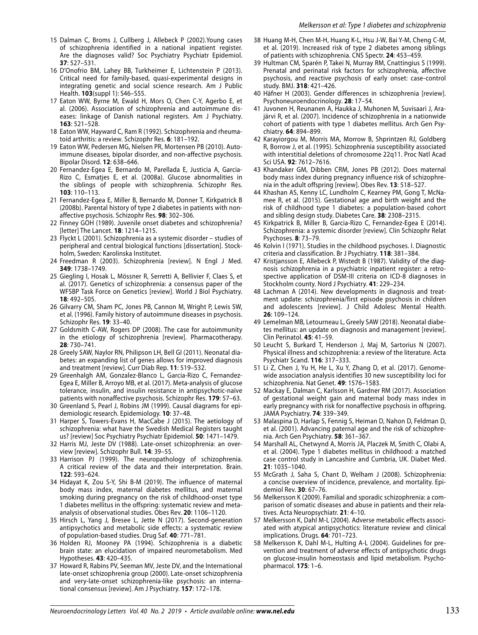- 15 Dalman C, Broms J, Cullberg J, Allebeck P (2002).Young cases of schizophrenia identified in a national inpatient register. Are the diagnoses valid? Soc Psychiatry Psychiatr Epidemiol. **37**: 527–531.
- 16 D'Onofrio BM, Lahey BB, Turkheimer E, Lichtenstein P (2013). Critical need for family-based, quasi-experimental designs in integrating genetic and social science research. Am J Public Health. **103**(suppl 1): S46–S55.
- 17 Eaton WW, Byrne M, Ewald H, Mors O, Chen C-Y, Agerbo E, et al. (2006). Association of schizophrenia and autoimmune diseases: linkage of Danish national registers. Am J Psychiatry. **163**: 521–528.
- 18 Eaton WW, Hayward C, Ram R (1992). Schizophrenia and rheumatoid arthritis: a review. Schizophr Res. **6**: 181–192.
- 19 Eaton WW, Pedersen MG, Nielsen PR, Mortensen PB (2010). Autoimmune diseases, bipolar disorder, and non-affective psychosis. Bipolar Disord. **12**: 638–646.
- 20 Fernandez-Egea E, Bernardo M, Parellada E, Justicia A, Garcia-Rizo C, Esmatjes E, et al. (2008a). Glucose abnormalities in the siblings of people with schizophrenia. Schizophr Res. **103**: 110–113.
- 21 Fernandez-Egea E, Miller B, Bernardo M, Donner T, Kirkpatrick B (2008b). Parental history of type 2 diabetes in patients with nonaffective psychosis. Schizophr Res. **98**: 302–306.
- 22 Finney GOH (1989). Juvenile onset diabetes and schizophrenia? [letter] The Lancet. **18**: 1214–1215.
- 23 Flyckt L (2001). Schizophrenia as a systemic disorder studies of peripheral and central biological functions [dissertation]. Stockholm, Sweden: Karolinska Institutet.
- 24 Freedman R (2003). Schizophrenia [review]. N Engl J Med. **349**: 1738–1749.
- 25 Giegling I, Hosak L, Mössner R, Serretti A, Bellivier F, Claes S, et al. (2017). Genetics of schizophrenia: a consensus paper of the WFSBP Task Force on Genetics [review]. World J Biol Psychiatry. **18**: 492–505.
- 26 Gilvarry CM, Sham PC, Jones PB, Cannon M, Wright P, Lewis SW, et al. (1996). Family history of autoimmune diseases in psychosis. Schizophr Res. **19**: 33–40.
- 27 Goldsmith C-AW, Rogers DP (2008). The case for autoimmunity in the etiology of schizophrenia [review]. Pharmacotherapy. **28**: 730–741.
- 28 Greely SAW, Naylor RN, Philipson LH, Bell GI (2011). Neonatal diabetes: an expanding list of genes allows for improved diagnosis and treatment [review]. Curr Diab Rep. **11**: 519–532.
- 29 Greenhalgh AM, Gonzalez-Blanco L, Garcia-Rizo C, Fernandez-Egea E, Miller B, Arroyo MB, et al. (2017). Meta-analysis of glucose tolerance, insulin, and insulin resistance in antipsychotic-naïve patients with nonaffective psychosis. Schizophr Res. **179**: 57–63.
- 30 Greenland S, Pearl J, Robins JM (1999). Causal diagrams for epidemiologic research. Epidemiology. **10**: 37–48.
- 31 Harper S, Towers-Evans H, MacCabe J (2015). The aetiology of schizophrenia: what have the Swedish Medical Registers taught us? [review] Soc Psychiatry Psychiatr Epidemiol. **50**: 1471–1479.
- 32 Harris MJ, Jeste DV (1988). Late-onset schizophrenia: an overview [review]. Schizophr Bull. **14**: 39–55.
- 33 Harrison PJ (1999). The neuropathology of schizophrenia. A critical review of the data and their interpretation. Brain. **122**: 593–624.
- 34 Hidayat K, Zou S-Y, Shi B-M (2019). The influence of maternal body mass index, maternal diabetes mellitus, and maternal smoking during pregnancy on the risk of childhood-onset type 1 diabetes mellitus in the offspring: systematic review and metaanalysis of observational studies. Obes Rev. **20**: 1106–1120.
- 35 Hirsch L, Yang J, Bresee L, Jette N (2017). Second-generation antipsychotics and metabolic side effects: a systematic review of population-based studies. Drug Saf. **40**: 771–781.
- 36 Holden RJ, Mooney PA (1994). Schizophrenia is a diabetic brain state: an elucidation of impaired neurometabolism. Med Hypotheses. **43**: 420–435.
- 37 Howard R, Rabins PV, Seeman MV, Jeste DV, and the International late-onset schizophrenia group (2000). Late-onset schizophrenia and very-late-onset schizophrenia-like psychosis: an international consensus [review]. Am J Psychiatry. **157**: 172–178.
- 38 Huang M-H, Chen M-H, Huang K-L, Hsu J-W, Bai Y-M, Cheng C-M, et al. (2019). Increased risk of type 2 diabetes among siblings of patients with schizophrenia. CNS Spectr. **24**: 453–459.
- 39 Hultman CM, Sparén P, Takei N, Murray RM, Cnattingius S (1999). Prenatal and perinatal risk factors for schizophrenia, affective psychosis, and reactive psychosis of early onset: case-control study. BMJ. **318**: 421–426.
- 40 Häfner H (2003). Gender differences in schizophrenia [review]. Psychoneuroendocrinology. **28**: 17–54.
- 41 Juvonen H, Reunanen A, Haukka J, Muhonen M, Suvisaari J, Arajärvi R, et al. (2007). Incidence of schizophrenia in a nationwide cohort of patients with type 1 diabetes mellitus. Arch Gen Psychiatry. **64**: 894–899.
- 42 Karayiorgou M, Morris MA, Morrow B, Shprintzen RJ, Goldberg R, Borrow J, et al. (1995). Schizophrenia susceptibility associated with interstitial deletions of chromosome 22q11. Proc Natl Acad Sci USA. **92**: 7612–7616.
- 43 Khandaker GM, Dibben CRM, Jones PB (2012). Does maternal body mass index during pregnancy influence risk of schizophrenia in the adult offspring [review]. Obes Rev. **13**: 518–527.
- 44 Khashan AS, Kenny LC, Lundholm C, Kearney PM, Gong T, McNamee R, et al. (2015). Gestational age and birth weight and the risk of childhood type 1 diabetes: a population-based cohort and sibling design study. Diabetes Care. **38**: 2308–2315.
- 45 Kirkpatrick B, Miller B, Garcia-Rizo C, Fernandez-Egea E (2014). Schizophrenia: a systemic disorder [review]. Clin Schizophr Relat Psychoses. **8**: 73–79.
- 46 Kolvin I (1971). Studies in the childhood psychoses. I. Diagnostic criteria and classification. Br J Psychiatry. **118**: 381–384.
- 47 Kristjansson E, Allebeck P, Wistedt B (1987). Validity of the diagnosis schizophrenia in a psychiatric inpatient register: a retrospective application of DSM-III criteria on ICD-8 diagnoses in Stockholm county. Nord J Psychiatry. **41**: 229–234.
- 48 Lachman A (2014). New developments in diagnosis and treatment update: schizophrenia/first episode psychosis in children and adolescents [review]. J Child Adolesc Mental Health. **26**: 109–124.
- 49 Lemelman MB, Letourneau L, Greely SAW (2018). Neonatal diabetes mellitus: an update on diagnosis and management [review]. Clin Perinatol. **45**: 41–59.
- 50 Leucht S, Burkard T, Henderson J, Maj M, Sartorius N (2007). Physical illness and schizophrenia: a review of the literature. Acta Psychiatr Scand. **116**: 317–333.
- 51 Li Z, Chen J, Yu H, He L, Xu Y, Zhang D, et al. (2017). Genomewide association analysis identifies 30 new susceptibility loci for schizophrenia. Nat Genet. **49**: 1576–1583.
- 52 Mackay E, Dalman C, Karlsson H, Gardner RM (2017). Association of gestational weight gain and maternal body mass index in early pregnancy with risk for nonaffective psychosis in offspring. JAMA Psychiatry. **74**: 339–349.
- 53 Malaspina D, Harlap S, Fennig S, Heiman D, Nahon D, Feldman D, et al. (2001). Advancing paternal age and the risk of schizophrenia. Arch Gen Psychiatry. **58**: 361–367.
- 54 Marshall AL, Chetwynd A, Morris JA, Placzek M, Smith C, Olabi A, et al. (2004). Type 1 diabetes mellitus in childhood: a matched case control study in Lancashire and Cumbria, UK. Diabet Med. **21**: 1035–1040.
- 55 McGrath J, Saha S, Chant D, Welham J (2008). Schizophrenia: a concise overview of incidence, prevalence, and mortality. Epidemiol Rev. **30**: 67–76.
- 56 Melkersson K (2009). Familial and sporadic schizophrenia: a comparison of somatic diseases and abuse in patients and their relatives. Acta Neuropsychiatr. **21**: 4–10.
- 57 Melkersson K, Dahl M-L (2004). Adverse metabolic effects associated with atypical antipsychotics: literature review and clinical implications. Drugs. **64**: 701–723.
- 58 Melkersson K, Dahl M-L, Hulting A-L (2004). Guidelines for prevention and treatment of adverse effects of antipsychotic drugs on glucose-insulin homeostasis and lipid metabolism. Psychopharmacol. **175**: 1–6.